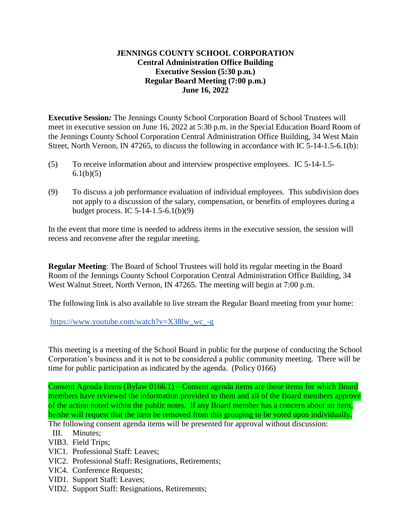## **JENNINGS COUNTY SCHOOL CORPORATION Central Administration Office Building Executive Session (5:30 p.m.) Regular Board Meeting (7:00 p.m.) June 16, 2022**

**Executive Session***:* The Jennings County School Corporation Board of School Trustees will meet in executive session on June 16, 2022 at 5:30 p.m. in the Special Education Board Room of the Jennings County School Corporation Central Administration Office Building, 34 West Main Street, North Vernon, IN 47265, to discuss the following in accordance with IC 5-14-1.5-6.1(b):

- (5) To receive information about and interview prospective employees. IC 5-14-1.5-  $6.1(b)(5)$
- (9) To discuss a job performance evaluation of individual employees. This subdivision does not apply to a discussion of the salary, compensation, or benefits of employees during a budget process. IC 5-14-1.5-6.1(b)(9)

In the event that more time is needed to address items in the executive session, the session will recess and reconvene after the regular meeting.

**Regular Meeting**: The Board of School Trustees will hold its regular meeting in the Board Room of the Jennings County School Corporation Central Administration Office Building, 34 West Walnut Street, North Vernon, IN 47265. The meeting will begin at 7:00 p.m.

The following link is also available to live stream the Regular Board meeting from your home:

[https://www.youtube.com/watch?v=X38lw\\_wc\\_-g](https://www.youtube.com/watch?v=X38lw_wc_-g)

This meeting is a meeting of the School Board in public for the purpose of conducting the School Corporation's business and it is not to be considered a public community meeting. There will be time for public participation as indicated by the agenda. (Policy 0166)

Consent Agenda Items (Bylaw 0166.1) – Consent agenda items are those items for which Board members have reviewed the information provided to them and all of the Board members approve of the action noted within the public notes. If any Board member has a concern about an item, he/she will request that the item be removed from this grouping to be voted upon individually.

The following consent agenda items will be presented for approval without discussion:

- III. Minutes;
- VIB3. Field Trips;
- VIC1. Professional Staff: Leaves;
- VIC2. Professional Staff: Resignations, Retirements;
- VIC4. Conference Requests;
- VID1. Support Staff: Leaves;
- VID2. Support Staff: Resignations, Retirements;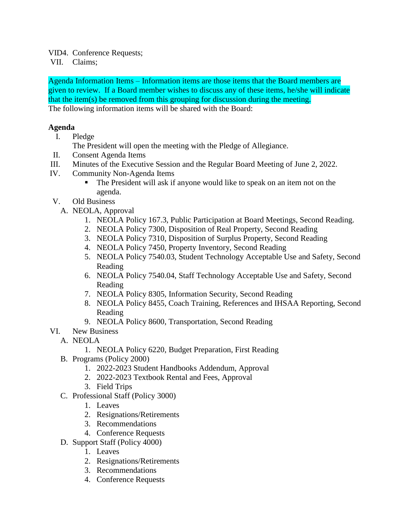VID4. Conference Requests;

VII. Claims;

Agenda Information Items – Information items are those items that the Board members are given to review. If a Board member wishes to discuss any of these items, he/she will indicate that the item(s) be removed from this grouping for discussion during the meeting. The following information items will be shared with the Board:

## **Agenda**

- I. Pledge
	- The President will open the meeting with the Pledge of Allegiance.
- II. Consent Agenda Items
- III. Minutes of the Executive Session and the Regular Board Meeting of June 2, 2022.
- IV. Community Non-Agenda Items
	- The President will ask if anyone would like to speak on an item not on the agenda.
- V. Old Business
	- A. NEOLA, Approval
		- 1. NEOLA Policy 167.3, Public Participation at Board Meetings, Second Reading.
		- 2. NEOLA Policy 7300, Disposition of Real Property, Second Reading
		- 3. NEOLA Policy 7310, Disposition of Surplus Property, Second Reading
		- 4. NEOLA Policy 7450, Property Inventory, Second Reading
		- 5. NEOLA Policy 7540.03, Student Technology Acceptable Use and Safety, Second Reading
		- 6. NEOLA Policy 7540.04, Staff Technology Acceptable Use and Safety, Second Reading
		- 7. NEOLA Policy 8305, Information Security, Second Reading
		- 8. NEOLA Policy 8455, Coach Training, References and IHSAA Reporting, Second Reading
		- 9. NEOLA Policy 8600, Transportation, Second Reading
- VI. New Business
	- A. NEOLA
		- 1. NEOLA Policy 6220, Budget Preparation, First Reading
		- B. Programs (Policy 2000)
			- 1. 2022-2023 Student Handbooks Addendum, Approval
			- 2. 2022-2023 Textbook Rental and Fees, Approval
			- 3. Field Trips
		- C. Professional Staff (Policy 3000)
			- 1. Leaves
			- 2. Resignations/Retirements
			- 3. Recommendations
			- 4. Conference Requests
		- D. Support Staff (Policy 4000)
			- 1. Leaves
			- 2. Resignations/Retirements
			- 3. Recommendations
			- 4. Conference Requests